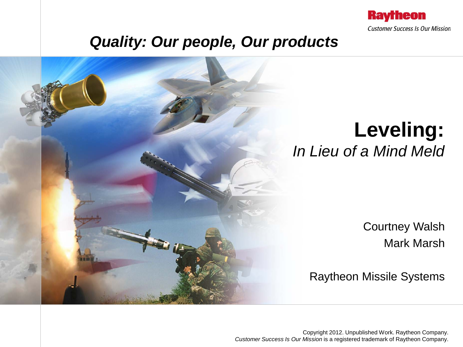

### *Quality: Our people, Our products*



## **Leveling:** *In Lieu of a Mind Meld*

Courtney Walsh Mark Marsh

Raytheon Missile Systems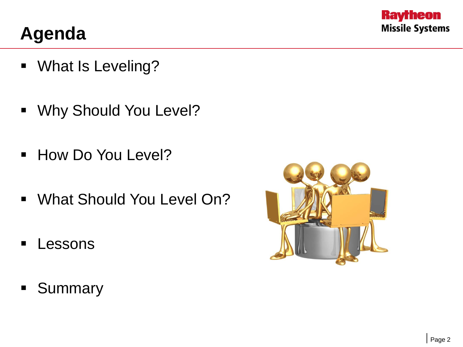

### **Agenda**

- **What Is Leveling?**
- **Why Should You Level?**
- **How Do You Level?**
- What Should You Level On?
- **Lessons**
- **Summary**

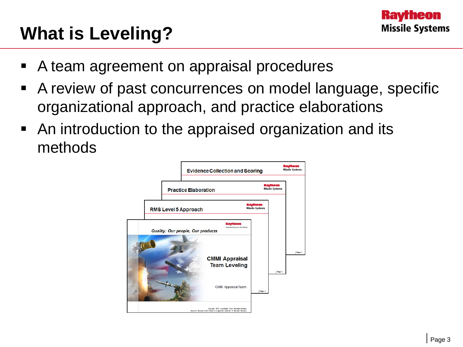## **What is Leveling?**

- A team agreement on appraisal procedures
- A review of past concurrences on model language, specific organizational approach, and practice elaborations
- An introduction to the appraised organization and its methods

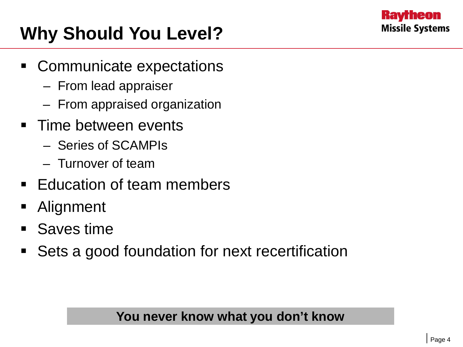

# **Why Should You Level?**

- Communicate expectations
	- From lead appraiser
	- From appraised organization
- Time between events
	- Series of SCAMPIs
	- Turnover of team
- **Education of team members**
- **Alignment**
- **Saves time**
- Sets a good foundation for next recertification

#### **You never know what you don't know**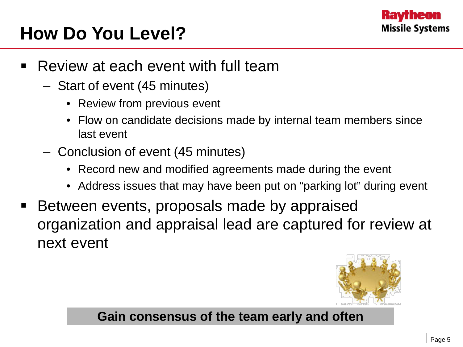

## **How Do You Level?**

- Review at each event with full team
	- Start of event (45 minutes)
		- Review from previous event
		- Flow on candidate decisions made by internal team members since last event
	- Conclusion of event (45 minutes)
		- Record new and modified agreements made during the event
		- Address issues that may have been put on "parking lot" during event
- Between events, proposals made by appraised organization and appraisal lead are captured for review at next event



#### **Gain consensus of the team early and often**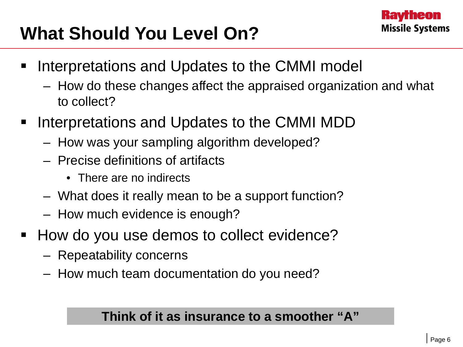## **What Should You Level On?**

- Interpretations and Updates to the CMMI model
	- How do these changes affect the appraised organization and what to collect?
- Interpretations and Updates to the CMMI MDD
	- How was your sampling algorithm developed?
	- Precise definitions of artifacts
		- There are no indirects
	- What does it really mean to be a support function?
	- How much evidence is enough?
- How do you use demos to collect evidence?
	- Repeatability concerns
	- How much team documentation do you need?

### **Think of it as insurance to a smoother "A"**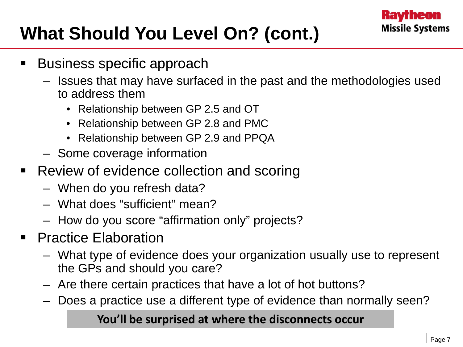# **What Should You Level On? (cont.)**

- Business specific approach
	- Issues that may have surfaced in the past and the methodologies used to address them
		- Relationship between GP 2.5 and OT
		- Relationship between GP 2.8 and PMC
		- Relationship between GP 2.9 and PPQA
	- Some coverage information
- Review of evidence collection and scoring
	- When do you refresh data?
	- What does "sufficient" mean?
	- How do you score "affirmation only" projects?
- Practice Elaboration
	- What type of evidence does your organization usually use to represent the GPs and should you care?
	- Are there certain practices that have a lot of hot buttons?
	- Does a practice use a different type of evidence than normally seen?

#### **You'll be surprised at where the disconnects occur**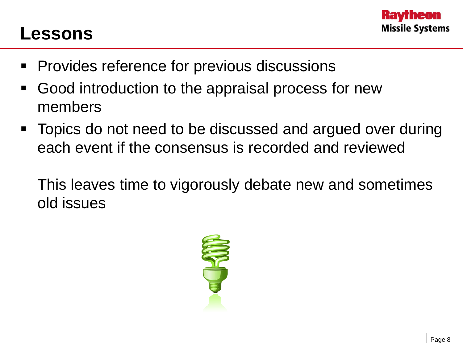### **Lessons**

- **Provides reference for previous discussions**
- Good introduction to the appraisal process for new members
- Topics do not need to be discussed and argued over during each event if the consensus is recorded and reviewed

This leaves time to vigorously debate new and sometimes old issues

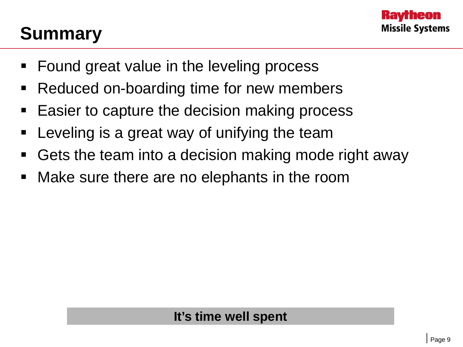### **Summary**

- **Found great value in the leveling process**
- Reduced on-boarding time for new members
- Easier to capture the decision making process
- **EXE** Leveling is a great way of unifying the team
- Gets the team into a decision making mode right away
- Make sure there are no elephants in the room

### **It's time well spent**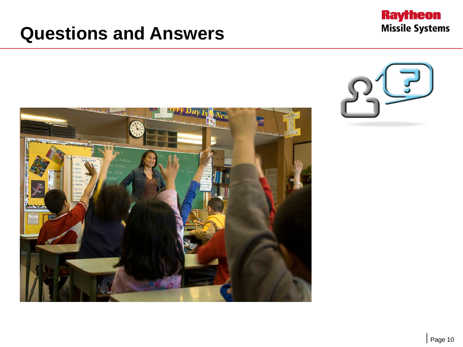### **Questions and Answers**





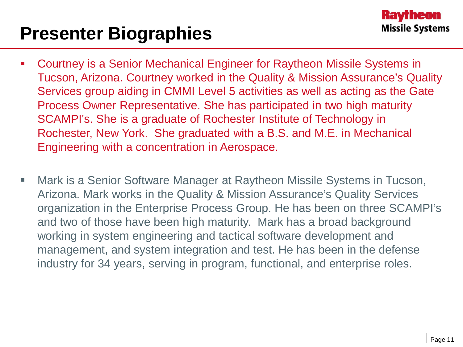### **Presenter Biographies**

- Courtney is a Senior Mechanical Engineer for Raytheon Missile Systems in Tucson, Arizona. Courtney worked in the Quality & Mission Assurance's Quality Services group aiding in CMMI Level 5 activities as well as acting as the Gate Process Owner Representative. She has participated in two high maturity SCAMPI's. She is a graduate of Rochester Institute of Technology in Rochester, New York. She graduated with a B.S. and M.E. in Mechanical Engineering with a concentration in Aerospace.
- Mark is a Senior Software Manager at Raytheon Missile Systems in Tucson, Arizona. Mark works in the Quality & Mission Assurance's Quality Services organization in the Enterprise Process Group. He has been on three SCAMPI's and two of those have been high maturity. Mark has a broad background working in system engineering and tactical software development and management, and system integration and test. He has been in the defense industry for 34 years, serving in program, functional, and enterprise roles.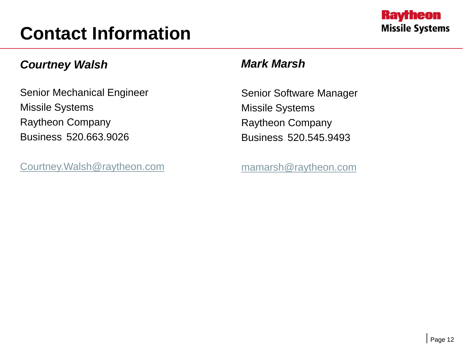## **Contact Information**

#### *Courtney Walsh*

Senior Mechanical Engineer Missile Systems Raytheon Company Business 520.663.9026

[Courtney.Walsh@raytheon.com](mailto:Courtney.Walsh@raytheon.com)

#### *Mark Marsh*

Senior Software Manager Missile Systems Raytheon Company Business 520.545.9493

[mamarsh@raytheon.com](mailto:mamarsh@raytheon.com)